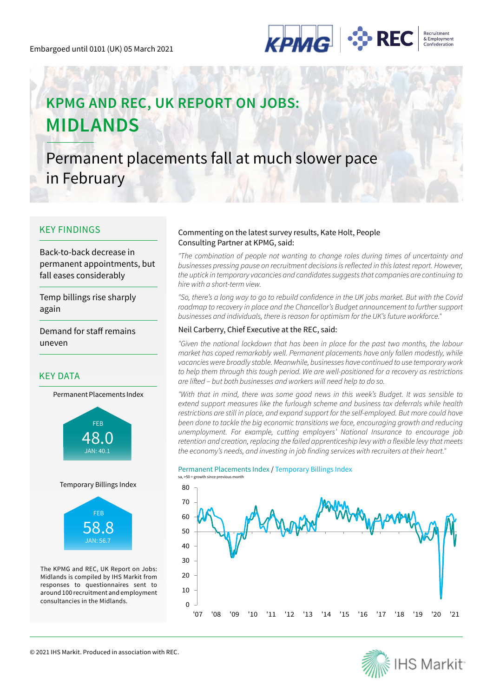

# **KPMG AND REC, UK REPORT ON JOBS: MIDLANDS**

Permanent placements fall at much slower pace in February

### KEY FINDINGS

Back-to-back decrease in permanent appointments, but fall eases considerably

Temp billings rise sharply again

Demand for staff remains uneven

### KEY DATA





Temporary Billings Index



The KPMG and REC, UK Report on Jobs: Midlands is compiled by IHS Markit from responses to questionnaires sent to around 100 recruitment and employment consultancies in the Midlands.

### Commenting on the latest survey results, Kate Holt, People Consulting Partner at KPMG, said:

*"The combination of people not wanting to change roles during times of uncertainty and*  businesses pressing pause on recruitment decisions is reflected in this latest report. However, the uptick in temporary vacancies and candidates suggests that companies are continuing to hire with a short-term view.

"So, there's a long way to go to rebuild confidence in the UK jobs market. But with the Covid roadmap to recovery in place and the Chancellor's Budget announcement to further support businesses and individuals, there is reason for optimism for the UK's future workforce."

### Neil Carberry, Chief Executive at the REC, said:

"Given the national lockdown that has been in place for the past two months, the labour market has coped remarkably well. Permanent placements have only fallen modestly, while vacancies were broadly stable. Meanwhile, businesses have continued to use temporary work to help them through this tough period. We are well-positioned for a recovery as restrictions are lifted – but both businesses and workers will need help to do so.

"With that in mind, there was some good news in this week's Budget. It was sensible to *extend support measures like the furlough scheme and business tax deferrals while health*  restrictions are still in place, and expand support for the self-employed. But more could have been done to tackle the big economic transitions we face, encouraging growth and reducing unemployment. For example, cutting employers' National Insurance to encourage job retention and creation, replacing the failed apprenticeship levy with a flexible levy that meets the economy's needs, and investing in job finding services with recruiters at their heart."

### Permanent Placements Index / Temporary Billings Index



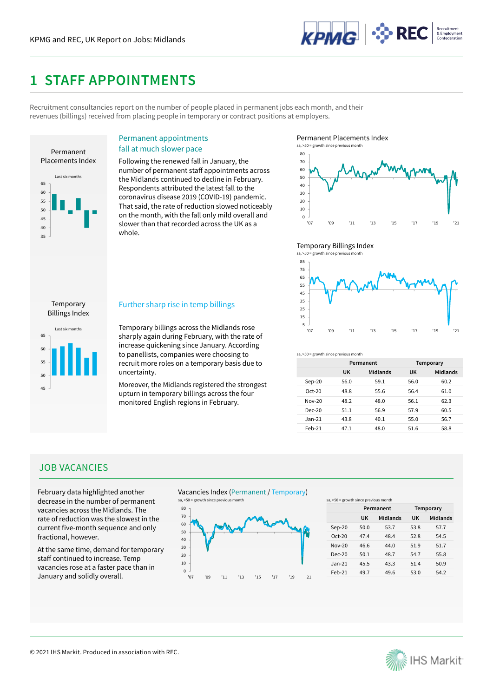

### **1 STAFF APPOINTMENTS**

Recruitment consultancies report on the number of people placed in permanent jobs each month, and their revenues (billings) received from placing people in temporary or contract positions at employers.



### Permanent appointments

### fall at much slower pace

Following the renewed fall in January, the number of permanent staff appointments across the Midlands continued to decline in February. Respondents attributed the latest fall to the coronavirus disease 2019 (COVID-19) pandemic. That said, the rate of reduction slowed noticeably on the month, with the fall only mild overall and slower than that recorded across the UK as a whole.

Permanent Placements Index



### Temporary Billings Index

![](_page_1_Figure_11.jpeg)

### 45 50 55 60 65 Last six months Billings Index

Temporary

### Further sharp rise in temp billings

Temporary billings across the Midlands rose sharply again during February, with the rate of increase quickening since January. According to panellists, companies were choosing to recruit more roles on a temporary basis due to uncertainty.

Moreover, the Midlands registered the strongest upturn in temporary billings across the four monitored English regions in February.

![](_page_1_Figure_16.jpeg)

|          | Permanent |          | Temporary |          |
|----------|-----------|----------|-----------|----------|
|          | UK        | Midlands | UK        | Midlands |
| $Sep-20$ | 56.0      | 59.1     | 56.0      | 60.2     |
| $Oct-20$ | 48.8      | 55.6     | 56.4      | 61.0     |
| $Now-20$ | 48.2      | 48.0     | 56.1      | 62.3     |
| $Dec-20$ | 51.1      | 56.9     | 57.9      | 60.5     |
| Jan-21   | 43.8      | 40.1     | 55.0      | 56.7     |
| $Feb-21$ | 47.1      | 48.0     | 51.6      | 58.8     |

### JOB VACANCIES

February data highlighted another decrease in the number of permanent vacancies across the Midlands. The rate of reduction was the slowest in the current five-month sequence and only fractional, however.

At the same time, demand for temporary staff continued to increase. Temp vacancies rose at a faster pace than in January and solidly overall.

![](_page_1_Figure_21.jpeg)

![](_page_1_Figure_22.jpeg)

sa, >50 = growth since previous month

|          | Permanent |          | Temporary |          |
|----------|-----------|----------|-----------|----------|
|          | <b>UK</b> | Midlands | UK        | Midlands |
| $Sep-20$ | 50.0      | 53.7     | 53.8      | 57.7     |
| $Oct-20$ | 474       | 48.4     | 52.8      | 54.5     |
| $Now-20$ | 46.6      | 44.0     | 51.9      | 51.7     |
| $Der-20$ | 50.1      | 48.7     | 54.7      | 55.8     |
| $Jan-21$ | 45.5      | 43.3     | 51.4      | 50.9     |
| Feb-21   | 49.7      | 49.6     | 53.0      | 54.2     |

![](_page_1_Picture_25.jpeg)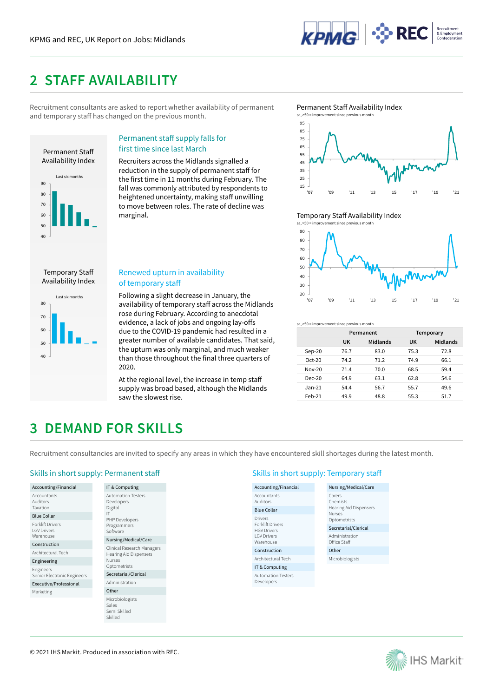![](_page_2_Picture_1.jpeg)

### **2 STAFF AVAILABILITY**

Recruitment consultants are asked to report whether availability of permanent and temporary staff has changed on the previous month.

![](_page_2_Figure_4.jpeg)

### Permanent staff supply falls for first time since last March

Recruiters across the Midlands signalled a reduction in the supply of permanent staff for the first time in 11 months during February. The fall was commonly attributed by respondents to heightened uncertainty, making staff unwilling to move between roles. The rate of decline was marginal.

#### Permanent Staff Availability Index sa,  $>50$  = in

![](_page_2_Figure_8.jpeg)

Temporary Staff Availability Index

![](_page_2_Figure_10.jpeg)

Temporary Staff Availability Index

### Renewed upturn in availability of temporary staff

Following a slight decrease in January, the availability of temporary staff across the Midlands rose during February. According to anecdotal evidence, a lack of jobs and ongoing lay-offs due to the COVID-19 pandemic had resulted in a greater number of available candidates. That said, the upturn was only marginal, and much weaker than those throughout the final three quarters of 2020.

At the regional level, the increase in temp staff supply was broad based, although the Midlands saw the slowest rise.

![](_page_2_Figure_16.jpeg)

|          | Permanent |          | Temporary |          |
|----------|-----------|----------|-----------|----------|
|          | UK        | Midlands | UK        | Midlands |
| $Sep-20$ | 76.7      | 83.0     | 75.3      | 72.8     |
| $Oct-20$ | 74.2      | 71.2     | 74.9      | 66.1     |
| $Nov-20$ | 71.4      | 70.0     | 68.5      | 59.4     |
| $Dec-20$ | 64.9      | 63.1     | 62.8      | 54.6     |
| $Jan-21$ | 54.4      | 56.7     | 55.7      | 49.6     |
| $Feh-21$ | 49.9      | 48.8     | 55.3      | 51.7     |

## **3 DEMAND FOR SKILLS**

Recruitment consultancies are invited to specify any areas in which they have encountered skill shortages during the latest month.

### Skills in short supply: Permanent staff Skills in short supply: Temporary staff Skills in short supply: Temporary staff

| Accounting/Financial                                 |
|------------------------------------------------------|
| Accountants<br>Auditors<br>Taxation                  |
| <b>Blue Collar</b>                                   |
| <b>Forklift Drivers</b><br>I GV Drivers<br>Warehouse |
| Construction                                         |
| Architectural Tech                                   |
| Engineering                                          |
| Engineers<br>Senior Electronic Engineers             |

Executive/Professional Marketing

IT & Computing Automation Testers Developers Digital IT PHP Developers Programmers Software Nursing/Medical/Care Clinical Research Managers Hearing Aid Dispensers Nurses **Optometrists** Secretarial/Clerical Administration Other Microbiologists Sales Semi Skilled

Accounting/Financial Accountants Auditors Blue Collar Drivers Forklift Drivers HGV Drivers LGV Drivers Warehouse Construction Architectural Tech IT & Computing Automation Testers Developers Nursing/Medical/Care Carers Chemists Hearing Aid Dispensers Nurses Ontometrists Secretarial/Clerical Administration Office Staff Other Microbiologists

![](_page_2_Picture_25.jpeg)

Skilled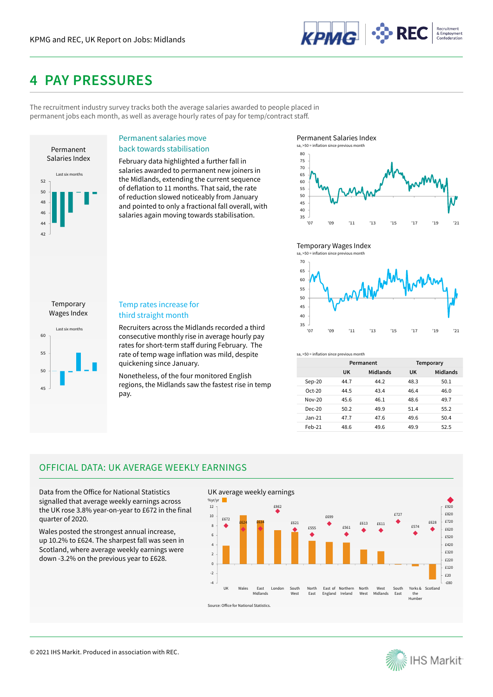![](_page_3_Picture_1.jpeg)

## **4 PAY PRESSURES**

The recruitment industry survey tracks both the average salaries awarded to people placed in permanent jobs each month, as well as average hourly rates of pay for temp/contract staff.

![](_page_3_Figure_4.jpeg)

### Permanent salaries move back towards stabilisation

February data highlighted a further fall in salaries awarded to permanent new joiners in the Midlands, extending the current sequence of deflation to 11 months. That said, the rate of reduction slowed noticeably from January and pointed to only a fractional fall overall, with salaries again moving towards stabilisation.

Permanent Salaries Index

![](_page_3_Figure_8.jpeg)

### Temporary Wages Index

![](_page_3_Figure_10.jpeg)

45 50 55 60 Last six months Wages Index

Temporary

### Temp rates increase for third straight month

Recruiters across the Midlands recorded a third consecutive monthly rise in average hourly pay rates for short-term staff during February. The rate of temp wage inflation was mild, despite quickening since January.

Nonetheless, of the four monitored English regions, the Midlands saw the fastest rise in temp pay.

sa, >50 = inflation since previous month

|          | Permanent |          | Temporary |          |
|----------|-----------|----------|-----------|----------|
|          | UK        | Midlands | UK        | Midlands |
| $Sep-20$ | 447       | 44.2     | 48.3      | 50.1     |
| $Oct-20$ | 44.5      | 43.4     | 46.4      | 46.0     |
| Nov-20   | 45.6      | 46.1     | 48.6      | 49.7     |
| $Dec-20$ | 50.2      | 49.9     | 51.4      | 55.2     |
| $Jan-21$ | 47.7      | 47.6     | 49.6      | 50.4     |
| $Feh-21$ | 48.6      | 49.6     | 49.9      | 52.5     |

### OFFICIAL DATA: UK AVERAGE WEEKLY EARNINGS

Data from the Office for National Statistics signalled that average weekly earnings across the UK rose 3.8% year-on-year to £672 in the final quarter of 2020.

Wales posted the strongest annual increase, up 10.2% to £624. The sharpest fall was seen in Scotland, where average weekly earnings were down -3.2% on the previous year to £628.

![](_page_3_Figure_20.jpeg)

![](_page_3_Picture_21.jpeg)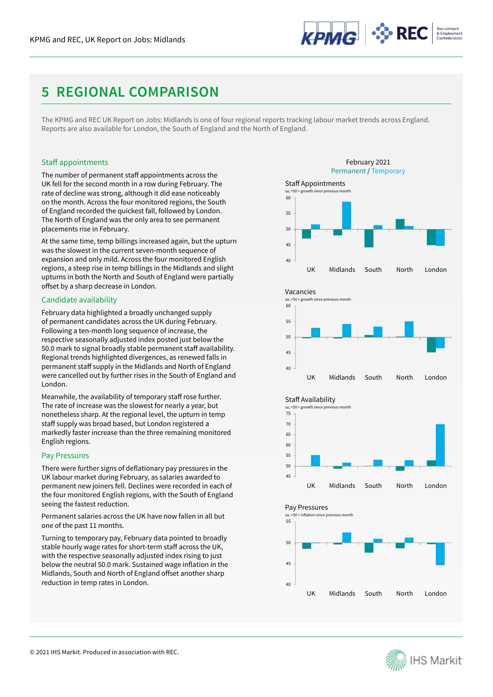![](_page_4_Picture_1.jpeg)

## **5 REGIONAL COMPARISON**

The KPMG and REC UK Report on Jobs: Midlands is one of four regional reports tracking labour market trends across England. Reports are also available for London, the South of England and the North of England.

### Staff appointments

The number of permanent staff appointments across the UK fell for the second month in a row during February. The rate of decline was strong, although it did ease noticeably on the month. Across the four monitored regions, the South of England recorded the quickest fall, followed by London. The North of England was the only area to see permanent placements rise in February.

At the same time, temp billings increased again, but the upturn was the slowest in the current seven-month sequence of expansion and only mild. Across the four monitored English regions, a steep rise in temp billings in the Midlands and slight upturns in both the North and South of England were partially offset by a sharp decrease in London.

### Candidate availability

February data highlighted a broadly unchanged supply of permanent candidates across the UK during February. Following a ten-month long sequence of increase, the respective seasonally adjusted index posted just below the 50.0 mark to signal broadly stable permanent staff availability. Regional trends highlighted divergences, as renewed falls in permanent staff supply in the Midlands and North of England were cancelled out by further rises in the South of England and London.

Meanwhile, the availability of temporary staff rose further. The rate of increase was the slowest for nearly a year, but nonetheless sharp. At the regional level, the upturn in temp staff supply was broad based, but London registered a markedly faster increase than the three remaining monitored English regions.

### Pay Pressures

There were further signs of deflationary pay pressures in the UK labour market during February, as salaries awarded to permanent new joiners fell. Declines were recorded in each of the four monitored English regions, with the South of England seeing the fastest reduction.

Permanent salaries across the UK have now fallen in all but one of the past 11 months.

Turning to temporary pay, February data pointed to broadly stable hourly wage rates for short-term staff across the UK, with the respective seasonally adjusted index rising to just below the neutral 50.0 mark. Sustained wage inflation in the Midlands, South and North of England offset another sharp reduction in temp rates in London.

![](_page_4_Figure_14.jpeg)

![](_page_4_Picture_15.jpeg)